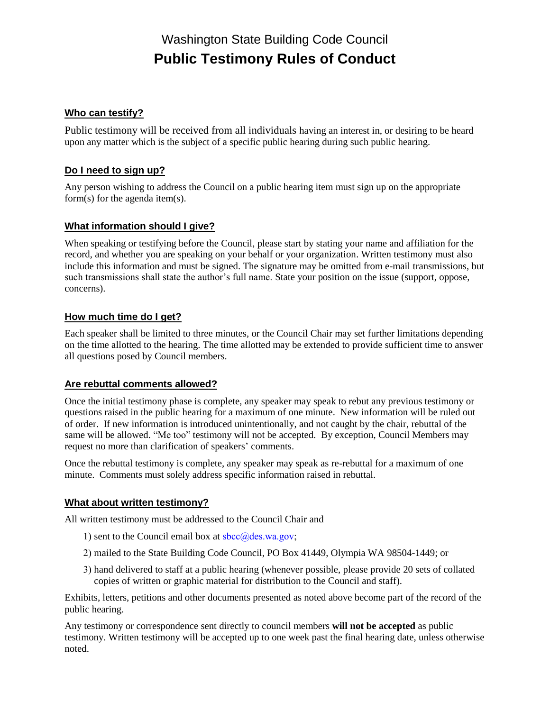# Washington State Building Code Council **Public Testimony Rules of Conduct**

# **Who can testify?**

Public testimony will be received from all individuals having an interest in, or desiring to be heard upon any matter which is the subject of a specific public hearing during such public hearing.

### **Do I need to sign up?**

Any person wishing to address the Council on a public hearing item must sign up on the appropriate form(s) for the agenda item(s).

#### **What information should I give?**

When speaking or testifying before the Council, please start by stating your name and affiliation for the record, and whether you are speaking on your behalf or your organization. Written testimony must also include this information and must be signed. The signature may be omitted from e-mail transmissions, but such transmissions shall state the author's full name. State your position on the issue (support, oppose, concerns).

#### **How much time do I get?**

Each speaker shall be limited to three minutes, or the Council Chair may set further limitations depending on the time allotted to the hearing. The time allotted may be extended to provide sufficient time to answer all questions posed by Council members.

#### **Are rebuttal comments allowed?**

Once the initial testimony phase is complete, any speaker may speak to rebut any previous testimony or questions raised in the public hearing for a maximum of one minute. New information will be ruled out of order. If new information is introduced unintentionally, and not caught by the chair, rebuttal of the same will be allowed. "Me too" testimony will not be accepted. By exception, Council Members may request no more than clarification of speakers' comments.

Once the rebuttal testimony is complete, any speaker may speak as re-rebuttal for a maximum of one minute. Comments must solely address specific information raised in rebuttal.

#### **What about written testimony?**

All written testimony must be addressed to the Council Chair and

- 1) sent to the Council email box at  $\frac{\sec(a)}{\cosh(a)}$  subsets.
- 2) mailed to the State Building Code Council, PO Box 41449, Olympia WA 98504-1449; or
- 3) hand delivered to staff at a public hearing (whenever possible, please provide 20 sets of collated copies of written or graphic material for distribution to the Council and staff).

Exhibits, letters, petitions and other documents presented as noted above become part of the record of the public hearing.

Any testimony or correspondence sent directly to council members **will not be accepted** as public testimony. Written testimony will be accepted up to one week past the final hearing date, unless otherwise noted.